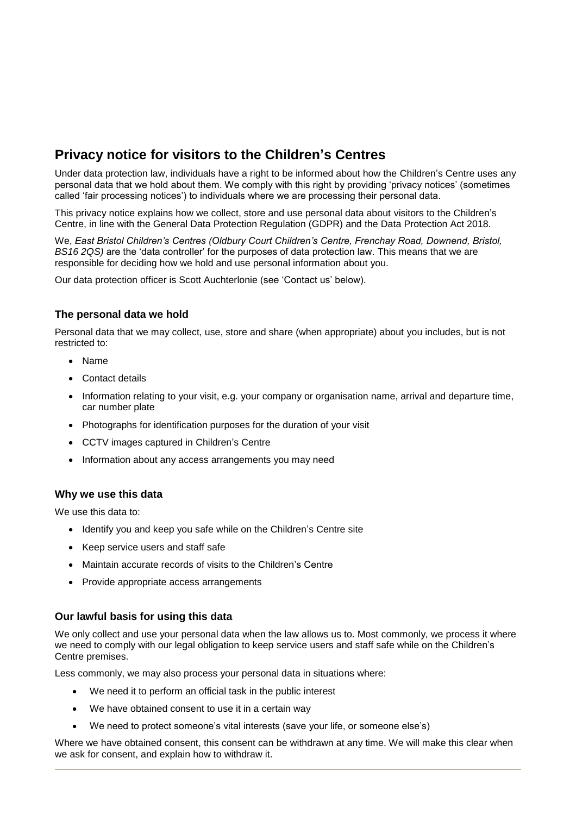# **Privacy notice for visitors to the Children's Centres**

Under data protection law, individuals have a right to be informed about how the Children's Centre uses any personal data that we hold about them. We comply with this right by providing 'privacy notices' (sometimes called 'fair processing notices') to individuals where we are processing their personal data.

This privacy notice explains how we collect, store and use personal data about visitors to the Children's Centre, in line with the General Data Protection Regulation (GDPR) and the Data Protection Act 2018.

We, *East Bristol Children's Centres (Oldbury Court Children's Centre, Frenchay Road, Downend, Bristol, BS16 2QS)* are the 'data controller' for the purposes of data protection law. This means that we are responsible for deciding how we hold and use personal information about you.

Our data protection officer is Scott Auchterlonie (see 'Contact us' below).

### **The personal data we hold**

Personal data that we may collect, use, store and share (when appropriate) about you includes, but is not restricted to:

- Name
- Contact details
- Information relating to your visit, e.g. your company or organisation name, arrival and departure time, car number plate
- Photographs for identification purposes for the duration of your visit
- CCTV images captured in Children's Centre
- Information about any access arrangements you may need

### **Why we use this data**

We use this data to:

- Identify you and keep you safe while on the Children's Centre site
- Keep service users and staff safe
- Maintain accurate records of visits to the Children's Centre
- Provide appropriate access arrangements

### **Our lawful basis for using this data**

We only collect and use your personal data when the law allows us to. Most commonly, we process it where we need to comply with our legal obligation to keep service users and staff safe while on the Children's Centre premises.

Less commonly, we may also process your personal data in situations where:

- We need it to perform an official task in the public interest
- We have obtained consent to use it in a certain way
- We need to protect someone's vital interests (save your life, or someone else's)

Where we have obtained consent, this consent can be withdrawn at any time. We will make this clear when we ask for consent, and explain how to withdraw it.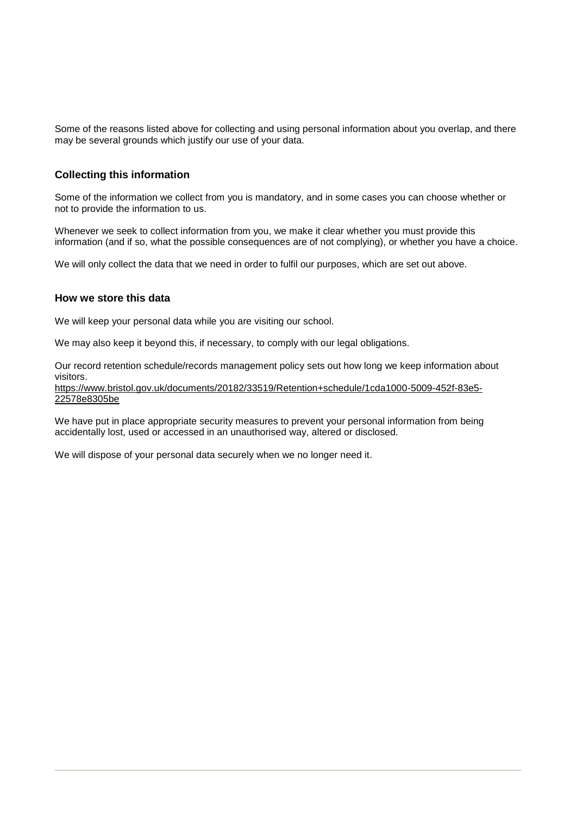Some of the reasons listed above for collecting and using personal information about you overlap, and there may be several grounds which justify our use of your data.

### **Collecting this information**

Some of the information we collect from you is mandatory, and in some cases you can choose whether or not to provide the information to us.

Whenever we seek to collect information from you, we make it clear whether you must provide this information (and if so, what the possible consequences are of not complying), or whether you have a choice.

We will only collect the data that we need in order to fulfil our purposes, which are set out above.

### **How we store this data**

We will keep your personal data while you are visiting our school.

We may also keep it beyond this, if necessary, to comply with our legal obligations.

Our record retention schedule/records management policy sets out how long we keep information about visitors.

[https://www.bristol.gov.uk/documents/20182/33519/Retention+schedule/1cda1000-5009-452f-83e5-](https://www.bristol.gov.uk/documents/20182/33519/Retention+schedule/1cda1000-5009-452f-83e5-22578e8305be) [22578e8305be](https://www.bristol.gov.uk/documents/20182/33519/Retention+schedule/1cda1000-5009-452f-83e5-22578e8305be)

We have put in place appropriate security measures to prevent your personal information from being accidentally lost, used or accessed in an unauthorised way, altered or disclosed.

We will dispose of your personal data securely when we no longer need it.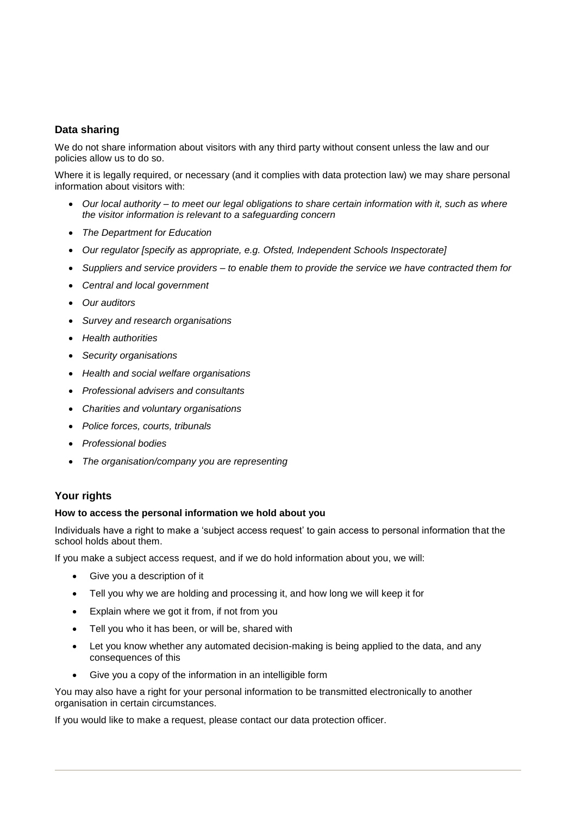## **Data sharing**

We do not share information about visitors with any third party without consent unless the law and our policies allow us to do so.

Where it is legally required, or necessary (and it complies with data protection law) we may share personal information about visitors with:

- *Our local authority – to meet our legal obligations to share certain information with it, such as where the visitor information is relevant to a safeguarding concern*
- *The Department for Education*
- *Our regulator [specify as appropriate, e.g. Ofsted, Independent Schools Inspectorate]*
- *Suppliers and service providers – to enable them to provide the service we have contracted them for*
- *Central and local government*
- *Our auditors*
- *Survey and research organisations*
- *Health authorities*
- *Security organisations*
- *Health and social welfare organisations*
- *Professional advisers and consultants*
- *Charities and voluntary organisations*
- *Police forces, courts, tribunals*
- *Professional bodies*
- *The organisation/company you are representing*

### **Your rights**

#### **How to access the personal information we hold about you**

Individuals have a right to make a 'subject access request' to gain access to personal information that the school holds about them.

If you make a subject access request, and if we do hold information about you, we will:

- Give you a description of it
- Tell you why we are holding and processing it, and how long we will keep it for
- Explain where we got it from, if not from you
- Tell you who it has been, or will be, shared with
- Let you know whether any automated decision-making is being applied to the data, and any consequences of this
- Give you a copy of the information in an intelligible form

You may also have a right for your personal information to be transmitted electronically to another organisation in certain circumstances.

If you would like to make a request, please contact our data protection officer.